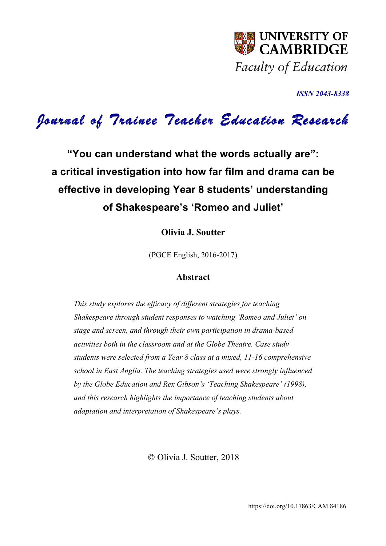

*ISSN 2043-8338* 

# *Journal of Trainee Teacher Education Research*

**"You can understand what the words actually are": a critical investigation into how far film and drama can be effective in developing Year 8 students' understanding of Shakespeare's 'Romeo and Juliet'**

**Olivia J. Soutter**

(PGCE English, 2016-2017)

## **Abstract**

*This study explores the efficacy of different strategies for teaching Shakespeare through student responses to watching 'Romeo and Juliet' on stage and screen, and through their own participation in drama-based activities both in the classroom and at the Globe Theatre. Case study students were selected from a Year 8 class at a mixed, 11-16 comprehensive school in East Anglia. The teaching strategies used were strongly influenced by the Globe Education and Rex Gibson's 'Teaching Shakespeare' (1998), and this research highlights the importance of teaching students about adaptation and interpretation of Shakespeare's plays.* 

© Olivia J. Soutter, 2018

https://doi.org/10.17863/CAM.84186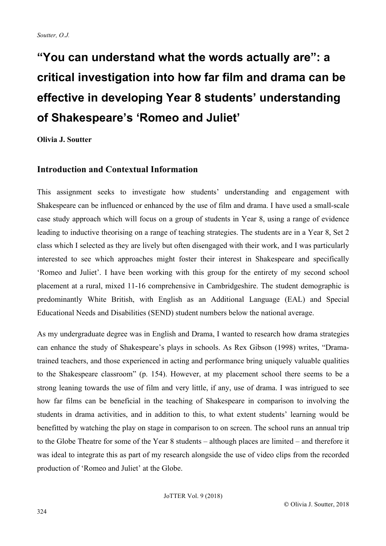# **"You can understand what the words actually are": a critical investigation into how far film and drama can be effective in developing Year 8 students' understanding of Shakespeare's 'Romeo and Juliet'**

# **Olivia J. Soutter**

## **Introduction and Contextual Information**

This assignment seeks to investigate how students' understanding and engagement with Shakespeare can be influenced or enhanced by the use of film and drama. I have used a small-scale case study approach which will focus on a group of students in Year 8, using a range of evidence leading to inductive theorising on a range of teaching strategies. The students are in a Year 8, Set 2 class which I selected as they are lively but often disengaged with their work, and I was particularly interested to see which approaches might foster their interest in Shakespeare and specifically 'Romeo and Juliet'. I have been working with this group for the entirety of my second school placement at a rural, mixed 11-16 comprehensive in Cambridgeshire. The student demographic is predominantly White British, with English as an Additional Language (EAL) and Special Educational Needs and Disabilities (SEND) student numbers below the national average.

As my undergraduate degree was in English and Drama, I wanted to research how drama strategies can enhance the study of Shakespeare's plays in schools. As Rex Gibson (1998) writes, "Dramatrained teachers, and those experienced in acting and performance bring uniquely valuable qualities to the Shakespeare classroom" (p. 154). However, at my placement school there seems to be a strong leaning towards the use of film and very little, if any, use of drama. I was intrigued to see how far films can be beneficial in the teaching of Shakespeare in comparison to involving the students in drama activities, and in addition to this, to what extent students' learning would be benefitted by watching the play on stage in comparison to on screen. The school runs an annual trip to the Globe Theatre for some of the Year 8 students – although places are limited – and therefore it was ideal to integrate this as part of my research alongside the use of video clips from the recorded production of 'Romeo and Juliet' at the Globe.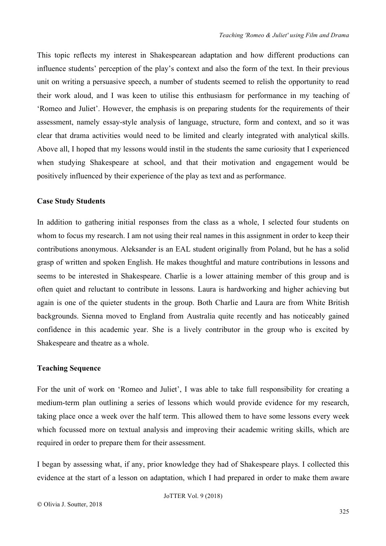This topic reflects my interest in Shakespearean adaptation and how different productions can influence students' perception of the play's context and also the form of the text. In their previous unit on writing a persuasive speech, a number of students seemed to relish the opportunity to read their work aloud, and I was keen to utilise this enthusiasm for performance in my teaching of 'Romeo and Juliet'. However, the emphasis is on preparing students for the requirements of their assessment, namely essay-style analysis of language, structure, form and context, and so it was clear that drama activities would need to be limited and clearly integrated with analytical skills. Above all, I hoped that my lessons would instil in the students the same curiosity that I experienced when studying Shakespeare at school, and that their motivation and engagement would be positively influenced by their experience of the play as text and as performance.

## **Case Study Students**

In addition to gathering initial responses from the class as a whole, I selected four students on whom to focus my research. I am not using their real names in this assignment in order to keep their contributions anonymous. Aleksander is an EAL student originally from Poland, but he has a solid grasp of written and spoken English. He makes thoughtful and mature contributions in lessons and seems to be interested in Shakespeare. Charlie is a lower attaining member of this group and is often quiet and reluctant to contribute in lessons. Laura is hardworking and higher achieving but again is one of the quieter students in the group. Both Charlie and Laura are from White British backgrounds. Sienna moved to England from Australia quite recently and has noticeably gained confidence in this academic year. She is a lively contributor in the group who is excited by Shakespeare and theatre as a whole.

## **Teaching Sequence**

For the unit of work on 'Romeo and Juliet', I was able to take full responsibility for creating a medium-term plan outlining a series of lessons which would provide evidence for my research, taking place once a week over the half term. This allowed them to have some lessons every week which focussed more on textual analysis and improving their academic writing skills, which are required in order to prepare them for their assessment.

I began by assessing what, if any, prior knowledge they had of Shakespeare plays. I collected this evidence at the start of a lesson on adaptation, which I had prepared in order to make them aware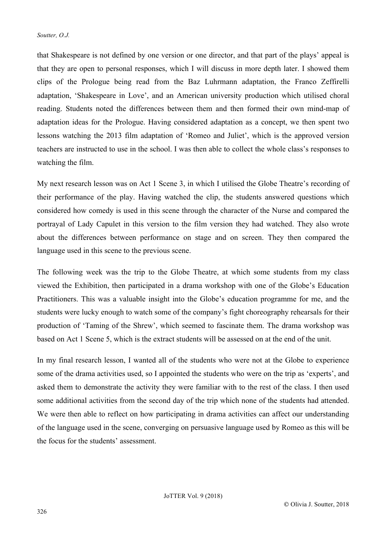that Shakespeare is not defined by one version or one director, and that part of the plays' appeal is that they are open to personal responses, which I will discuss in more depth later. I showed them clips of the Prologue being read from the Baz Luhrmann adaptation, the Franco Zeffirelli adaptation, 'Shakespeare in Love', and an American university production which utilised choral reading. Students noted the differences between them and then formed their own mind-map of adaptation ideas for the Prologue. Having considered adaptation as a concept, we then spent two lessons watching the 2013 film adaptation of 'Romeo and Juliet', which is the approved version teachers are instructed to use in the school. I was then able to collect the whole class's responses to watching the film.

My next research lesson was on Act 1 Scene 3, in which I utilised the Globe Theatre's recording of their performance of the play. Having watched the clip, the students answered questions which considered how comedy is used in this scene through the character of the Nurse and compared the portrayal of Lady Capulet in this version to the film version they had watched. They also wrote about the differences between performance on stage and on screen. They then compared the language used in this scene to the previous scene.

The following week was the trip to the Globe Theatre, at which some students from my class viewed the Exhibition, then participated in a drama workshop with one of the Globe's Education Practitioners. This was a valuable insight into the Globe's education programme for me, and the students were lucky enough to watch some of the company's fight choreography rehearsals for their production of 'Taming of the Shrew', which seemed to fascinate them. The drama workshop was based on Act 1 Scene 5, which is the extract students will be assessed on at the end of the unit.

In my final research lesson, I wanted all of the students who were not at the Globe to experience some of the drama activities used, so I appointed the students who were on the trip as 'experts', and asked them to demonstrate the activity they were familiar with to the rest of the class. I then used some additional activities from the second day of the trip which none of the students had attended. We were then able to reflect on how participating in drama activities can affect our understanding of the language used in the scene, converging on persuasive language used by Romeo as this will be the focus for the students' assessment.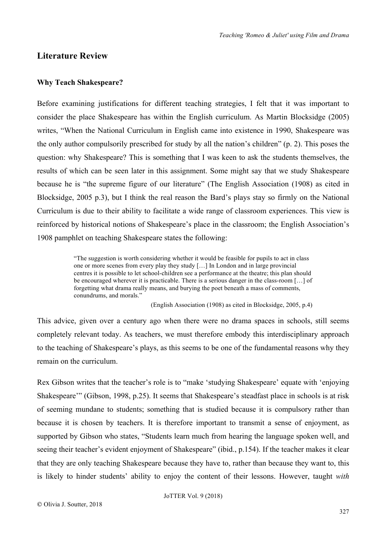## **Literature Review**

## **Why Teach Shakespeare?**

Before examining justifications for different teaching strategies, I felt that it was important to consider the place Shakespeare has within the English curriculum. As Martin Blocksidge (2005) writes, "When the National Curriculum in English came into existence in 1990, Shakespeare was the only author compulsorily prescribed for study by all the nation's children" (p. 2). This poses the question: why Shakespeare? This is something that I was keen to ask the students themselves, the results of which can be seen later in this assignment. Some might say that we study Shakespeare because he is "the supreme figure of our literature" (The English Association (1908) as cited in Blocksidge, 2005 p.3), but I think the real reason the Bard's plays stay so firmly on the National Curriculum is due to their ability to facilitate a wide range of classroom experiences. This view is reinforced by historical notions of Shakespeare's place in the classroom; the English Association's 1908 pamphlet on teaching Shakespeare states the following:

> "The suggestion is worth considering whether it would be feasible for pupils to act in class one or more scenes from every play they study […] In London and in large provincial centres it is possible to let school-children see a performance at the theatre; this plan should be encouraged wherever it is practicable. There is a serious danger in the class-room […] of forgetting what drama really means, and burying the poet beneath a mass of comments, conundrums, and morals."

> > (English Association (1908) as cited in Blocksidge, 2005, p.4)

This advice, given over a century ago when there were no drama spaces in schools, still seems completely relevant today. As teachers, we must therefore embody this interdisciplinary approach to the teaching of Shakespeare's plays, as this seems to be one of the fundamental reasons why they remain on the curriculum.

Rex Gibson writes that the teacher's role is to "make 'studying Shakespeare' equate with 'enjoying Shakespeare'" (Gibson, 1998, p.25). It seems that Shakespeare's steadfast place in schools is at risk of seeming mundane to students; something that is studied because it is compulsory rather than because it is chosen by teachers. It is therefore important to transmit a sense of enjoyment, as supported by Gibson who states, "Students learn much from hearing the language spoken well, and seeing their teacher's evident enjoyment of Shakespeare" (ibid., p.154). If the teacher makes it clear that they are only teaching Shakespeare because they have to, rather than because they want to, this is likely to hinder students' ability to enjoy the content of their lessons. However, taught *with*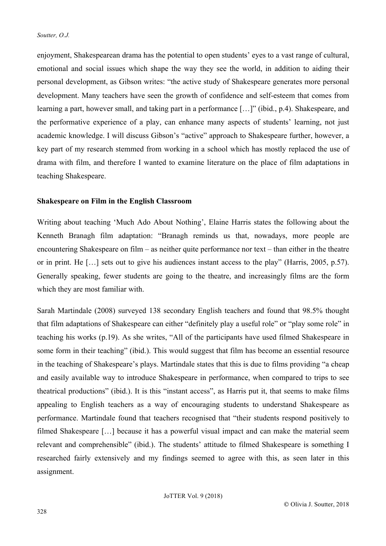enjoyment, Shakespearean drama has the potential to open students' eyes to a vast range of cultural, emotional and social issues which shape the way they see the world, in addition to aiding their personal development, as Gibson writes: "the active study of Shakespeare generates more personal development. Many teachers have seen the growth of confidence and self-esteem that comes from learning a part, however small, and taking part in a performance […]" (ibid., p.4). Shakespeare, and the performative experience of a play, can enhance many aspects of students' learning, not just academic knowledge. I will discuss Gibson's "active" approach to Shakespeare further, however, a key part of my research stemmed from working in a school which has mostly replaced the use of drama with film, and therefore I wanted to examine literature on the place of film adaptations in teaching Shakespeare.

### **Shakespeare on Film in the English Classroom**

Writing about teaching 'Much Ado About Nothing', Elaine Harris states the following about the Kenneth Branagh film adaptation: "Branagh reminds us that, nowadays, more people are encountering Shakespeare on film – as neither quite performance nor text – than either in the theatre or in print. He […] sets out to give his audiences instant access to the play" (Harris, 2005, p.57). Generally speaking, fewer students are going to the theatre, and increasingly films are the form which they are most familiar with.

Sarah Martindale (2008) surveyed 138 secondary English teachers and found that 98.5% thought that film adaptations of Shakespeare can either "definitely play a useful role" or "play some role" in teaching his works (p.19). As she writes, "All of the participants have used filmed Shakespeare in some form in their teaching" (ibid.). This would suggest that film has become an essential resource in the teaching of Shakespeare's plays. Martindale states that this is due to films providing "a cheap and easily available way to introduce Shakespeare in performance, when compared to trips to see theatrical productions" (ibid.). It is this "instant access", as Harris put it, that seems to make films appealing to English teachers as a way of encouraging students to understand Shakespeare as performance. Martindale found that teachers recognised that "their students respond positively to filmed Shakespeare […] because it has a powerful visual impact and can make the material seem relevant and comprehensible" (ibid.). The students' attitude to filmed Shakespeare is something I researched fairly extensively and my findings seemed to agree with this, as seen later in this assignment.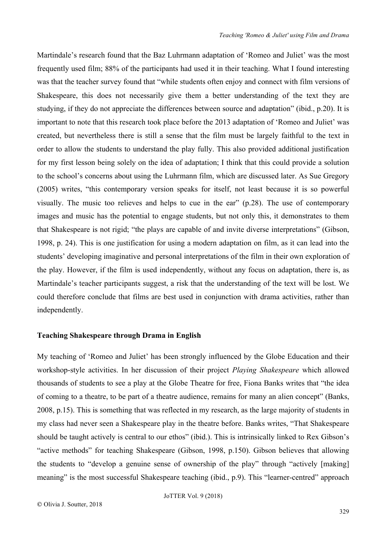Martindale's research found that the Baz Luhrmann adaptation of 'Romeo and Juliet' was the most frequently used film; 88% of the participants had used it in their teaching. What I found interesting was that the teacher survey found that "while students often enjoy and connect with film versions of Shakespeare, this does not necessarily give them a better understanding of the text they are studying, if they do not appreciate the differences between source and adaptation" (ibid., p.20). It is important to note that this research took place before the 2013 adaptation of 'Romeo and Juliet' was created, but nevertheless there is still a sense that the film must be largely faithful to the text in order to allow the students to understand the play fully. This also provided additional justification for my first lesson being solely on the idea of adaptation; I think that this could provide a solution to the school's concerns about using the Luhrmann film, which are discussed later. As Sue Gregory (2005) writes, "this contemporary version speaks for itself, not least because it is so powerful visually. The music too relieves and helps to cue in the ear" (p.28). The use of contemporary images and music has the potential to engage students, but not only this, it demonstrates to them that Shakespeare is not rigid; "the plays are capable of and invite diverse interpretations" (Gibson, 1998, p. 24). This is one justification for using a modern adaptation on film, as it can lead into the students' developing imaginative and personal interpretations of the film in their own exploration of the play. However, if the film is used independently, without any focus on adaptation, there is, as Martindale's teacher participants suggest, a risk that the understanding of the text will be lost. We could therefore conclude that films are best used in conjunction with drama activities, rather than independently.

#### **Teaching Shakespeare through Drama in English**

My teaching of 'Romeo and Juliet' has been strongly influenced by the Globe Education and their workshop-style activities. In her discussion of their project *Playing Shakespeare* which allowed thousands of students to see a play at the Globe Theatre for free, Fiona Banks writes that "the idea of coming to a theatre, to be part of a theatre audience, remains for many an alien concept" (Banks, 2008, p.15). This is something that was reflected in my research, as the large majority of students in my class had never seen a Shakespeare play in the theatre before. Banks writes, "That Shakespeare should be taught actively is central to our ethos" (ibid.). This is intrinsically linked to Rex Gibson's "active methods" for teaching Shakespeare (Gibson, 1998, p.150). Gibson believes that allowing the students to "develop a genuine sense of ownership of the play" through "actively [making] meaning" is the most successful Shakespeare teaching (ibid., p.9). This "learner-centred" approach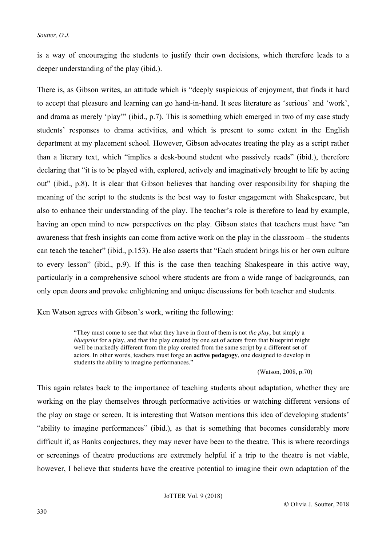is a way of encouraging the students to justify their own decisions, which therefore leads to a deeper understanding of the play (ibid.).

There is, as Gibson writes, an attitude which is "deeply suspicious of enjoyment, that finds it hard to accept that pleasure and learning can go hand-in-hand. It sees literature as 'serious' and 'work', and drama as merely 'play'" (ibid., p.7). This is something which emerged in two of my case study students' responses to drama activities, and which is present to some extent in the English department at my placement school. However, Gibson advocates treating the play as a script rather than a literary text, which "implies a desk-bound student who passively reads" (ibid.), therefore declaring that "it is to be played with, explored, actively and imaginatively brought to life by acting out" (ibid., p.8). It is clear that Gibson believes that handing over responsibility for shaping the meaning of the script to the students is the best way to foster engagement with Shakespeare, but also to enhance their understanding of the play. The teacher's role is therefore to lead by example, having an open mind to new perspectives on the play. Gibson states that teachers must have "an awareness that fresh insights can come from active work on the play in the classroom – the students can teach the teacher" (ibid., p.153). He also asserts that "Each student brings his or her own culture to every lesson" (ibid., p.9). If this is the case then teaching Shakespeare in this active way, particularly in a comprehensive school where students are from a wide range of backgrounds, can only open doors and provoke enlightening and unique discussions for both teacher and students.

Ken Watson agrees with Gibson's work, writing the following:

"They must come to see that what they have in front of them is not *the play*, but simply a *blueprint* for a play, and that the play created by one set of actors from that blueprint might well be markedly different from the play created from the same script by a different set of actors. In other words, teachers must forge an **active pedagogy**, one designed to develop in students the ability to imagine performances."

(Watson, 2008, p.70)

This again relates back to the importance of teaching students about adaptation, whether they are working on the play themselves through performative activities or watching different versions of the play on stage or screen. It is interesting that Watson mentions this idea of developing students' "ability to imagine performances" (ibid.), as that is something that becomes considerably more difficult if, as Banks conjectures, they may never have been to the theatre. This is where recordings or screenings of theatre productions are extremely helpful if a trip to the theatre is not viable, however, I believe that students have the creative potential to imagine their own adaptation of the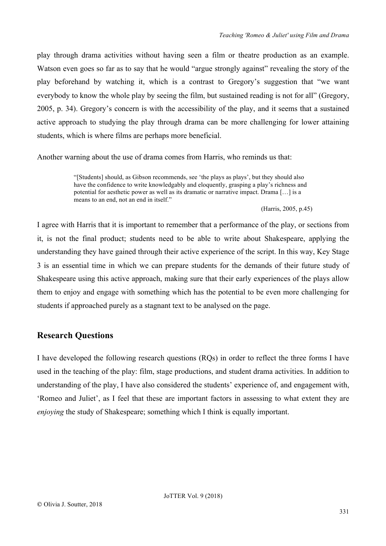play through drama activities without having seen a film or theatre production as an example. Watson even goes so far as to say that he would "argue strongly against" revealing the story of the play beforehand by watching it, which is a contrast to Gregory's suggestion that "we want everybody to know the whole play by seeing the film, but sustained reading is not for all" (Gregory, 2005, p. 34). Gregory's concern is with the accessibility of the play, and it seems that a sustained active approach to studying the play through drama can be more challenging for lower attaining students, which is where films are perhaps more beneficial.

Another warning about the use of drama comes from Harris, who reminds us that:

"[Students] should, as Gibson recommends, see 'the plays as plays', but they should also have the confidence to write knowledgably and eloquently, grasping a play's richness and potential for aesthetic power as well as its dramatic or narrative impact. Drama […] is a means to an end, not an end in itself."

(Harris, 2005, p.45)

I agree with Harris that it is important to remember that a performance of the play, or sections from it, is not the final product; students need to be able to write about Shakespeare, applying the understanding they have gained through their active experience of the script. In this way, Key Stage 3 is an essential time in which we can prepare students for the demands of their future study of Shakespeare using this active approach, making sure that their early experiences of the plays allow them to enjoy and engage with something which has the potential to be even more challenging for students if approached purely as a stagnant text to be analysed on the page.

# **Research Questions**

I have developed the following research questions (RQs) in order to reflect the three forms I have used in the teaching of the play: film, stage productions, and student drama activities. In addition to understanding of the play, I have also considered the students' experience of, and engagement with, 'Romeo and Juliet', as I feel that these are important factors in assessing to what extent they are *enjoying* the study of Shakespeare; something which I think is equally important.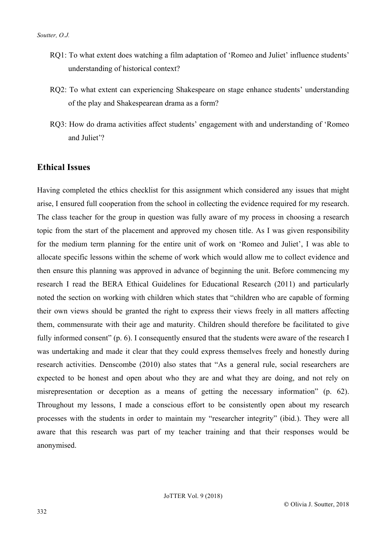- RQ1: To what extent does watching a film adaptation of 'Romeo and Juliet' influence students' understanding of historical context?
- RQ2: To what extent can experiencing Shakespeare on stage enhance students' understanding of the play and Shakespearean drama as a form?
- RQ3: How do drama activities affect students' engagement with and understanding of 'Romeo and Juliet'?

## **Ethical Issues**

Having completed the ethics checklist for this assignment which considered any issues that might arise, I ensured full cooperation from the school in collecting the evidence required for my research. The class teacher for the group in question was fully aware of my process in choosing a research topic from the start of the placement and approved my chosen title. As I was given responsibility for the medium term planning for the entire unit of work on 'Romeo and Juliet', I was able to allocate specific lessons within the scheme of work which would allow me to collect evidence and then ensure this planning was approved in advance of beginning the unit. Before commencing my research I read the BERA Ethical Guidelines for Educational Research (2011) and particularly noted the section on working with children which states that "children who are capable of forming their own views should be granted the right to express their views freely in all matters affecting them, commensurate with their age and maturity. Children should therefore be facilitated to give fully informed consent" (p. 6). I consequently ensured that the students were aware of the research I was undertaking and made it clear that they could express themselves freely and honestly during research activities. Denscombe (2010) also states that "As a general rule, social researchers are expected to be honest and open about who they are and what they are doing, and not rely on misrepresentation or deception as a means of getting the necessary information" (p. 62). Throughout my lessons, I made a conscious effort to be consistently open about my research processes with the students in order to maintain my "researcher integrity" (ibid.). They were all aware that this research was part of my teacher training and that their responses would be anonymised.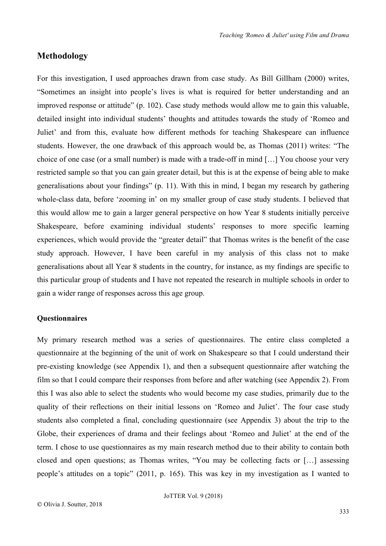## **Methodology**

For this investigation, I used approaches drawn from case study. As Bill Gillham (2000) writes, "Sometimes an insight into people's lives is what is required for better understanding and an improved response or attitude" (p. 102). Case study methods would allow me to gain this valuable, detailed insight into individual students' thoughts and attitudes towards the study of 'Romeo and Juliet' and from this, evaluate how different methods for teaching Shakespeare can influence students. However, the one drawback of this approach would be, as Thomas (2011) writes: "The choice of one case (or a small number) is made with a trade-off in mind […] You choose your very restricted sample so that you can gain greater detail, but this is at the expense of being able to make generalisations about your findings" (p. 11). With this in mind, I began my research by gathering whole-class data, before 'zooming in' on my smaller group of case study students. I believed that this would allow me to gain a larger general perspective on how Year 8 students initially perceive Shakespeare, before examining individual students' responses to more specific learning experiences, which would provide the "greater detail" that Thomas writes is the benefit of the case study approach. However, I have been careful in my analysis of this class not to make generalisations about all Year 8 students in the country, for instance, as my findings are specific to this particular group of students and I have not repeated the research in multiple schools in order to gain a wider range of responses across this age group.

### **Questionnaires**

My primary research method was a series of questionnaires. The entire class completed a questionnaire at the beginning of the unit of work on Shakespeare so that I could understand their pre-existing knowledge (see Appendix 1), and then a subsequent questionnaire after watching the film so that I could compare their responses from before and after watching (see Appendix 2). From this I was also able to select the students who would become my case studies, primarily due to the quality of their reflections on their initial lessons on 'Romeo and Juliet'. The four case study students also completed a final, concluding questionnaire (see Appendix 3) about the trip to the Globe, their experiences of drama and their feelings about 'Romeo and Juliet' at the end of the term. I chose to use questionnaires as my main research method due to their ability to contain both closed and open questions; as Thomas writes, "You may be collecting facts or […] assessing people's attitudes on a topic" (2011, p. 165). This was key in my investigation as I wanted to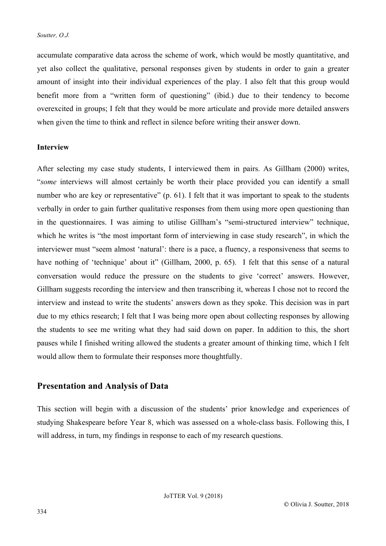accumulate comparative data across the scheme of work, which would be mostly quantitative, and yet also collect the qualitative, personal responses given by students in order to gain a greater amount of insight into their individual experiences of the play. I also felt that this group would benefit more from a "written form of questioning" (ibid.) due to their tendency to become overexcited in groups; I felt that they would be more articulate and provide more detailed answers when given the time to think and reflect in silence before writing their answer down.

### **Interview**

After selecting my case study students, I interviewed them in pairs. As Gillham (2000) writes, "*some* interviews will almost certainly be worth their place provided you can identify a small number who are key or representative" (p. 61). I felt that it was important to speak to the students verbally in order to gain further qualitative responses from them using more open questioning than in the questionnaires. I was aiming to utilise Gillham's "semi-structured interview" technique, which he writes is "the most important form of interviewing in case study research", in which the interviewer must "seem almost 'natural': there is a pace, a fluency, a responsiveness that seems to have nothing of 'technique' about it" (Gillham, 2000, p. 65). I felt that this sense of a natural conversation would reduce the pressure on the students to give 'correct' answers. However, Gillham suggests recording the interview and then transcribing it, whereas I chose not to record the interview and instead to write the students' answers down as they spoke. This decision was in part due to my ethics research; I felt that I was being more open about collecting responses by allowing the students to see me writing what they had said down on paper. In addition to this, the short pauses while I finished writing allowed the students a greater amount of thinking time, which I felt would allow them to formulate their responses more thoughtfully.

## **Presentation and Analysis of Data**

This section will begin with a discussion of the students' prior knowledge and experiences of studying Shakespeare before Year 8, which was assessed on a whole-class basis. Following this, I will address, in turn, my findings in response to each of my research questions.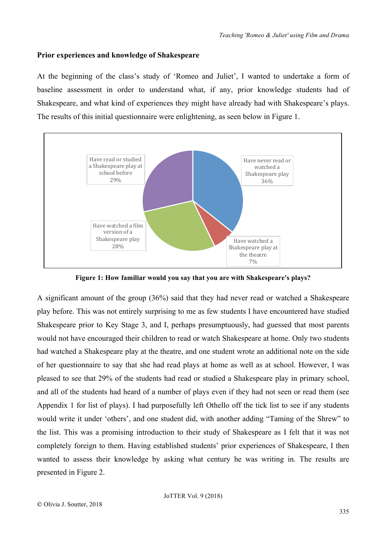#### **Prior experiences and knowledge of Shakespeare**

At the beginning of the class's study of 'Romeo and Juliet', I wanted to undertake a form of baseline assessment in order to understand what, if any, prior knowledge students had of Shakespeare, and what kind of experiences they might have already had with Shakespeare's plays. The results of this initial questionnaire were enlightening, as seen below in Figure 1.



**Figure 1: How familiar would you say that you are with Shakespeare's plays?**

A significant amount of the group (36%) said that they had never read or watched a Shakespeare play before. This was not entirely surprising to me as few students I have encountered have studied Shakespeare prior to Key Stage 3, and I, perhaps presumptuously, had guessed that most parents would not have encouraged their children to read or watch Shakespeare at home. Only two students had watched a Shakespeare play at the theatre, and one student wrote an additional note on the side of her questionnaire to say that she had read plays at home as well as at school. However, I was pleased to see that 29% of the students had read or studied a Shakespeare play in primary school, and all of the students had heard of a number of plays even if they had not seen or read them (see Appendix 1 for list of plays). I had purposefully left Othello off the tick list to see if any students would write it under 'others', and one student did, with another adding "Taming of the Shrew" to the list. This was a promising introduction to their study of Shakespeare as I felt that it was not completely foreign to them. Having established students' prior experiences of Shakespeare, I then wanted to assess their knowledge by asking what century he was writing in. The results are presented in Figure 2.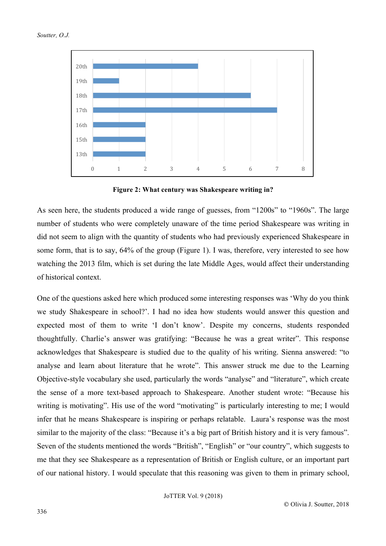



**Figure 2: What century was Shakespeare writing in?**

As seen here, the students produced a wide range of guesses, from "1200s" to "1960s". The large number of students who were completely unaware of the time period Shakespeare was writing in did not seem to align with the quantity of students who had previously experienced Shakespeare in some form, that is to say, 64% of the group (Figure 1). I was, therefore, very interested to see how watching the 2013 film, which is set during the late Middle Ages, would affect their understanding of historical context.

One of the questions asked here which produced some interesting responses was 'Why do you think we study Shakespeare in school?'. I had no idea how students would answer this question and expected most of them to write 'I don't know'. Despite my concerns, students responded thoughtfully. Charlie's answer was gratifying: "Because he was a great writer". This response acknowledges that Shakespeare is studied due to the quality of his writing. Sienna answered: "to analyse and learn about literature that he wrote". This answer struck me due to the Learning Objective-style vocabulary she used, particularly the words "analyse" and "literature", which create the sense of a more text-based approach to Shakespeare. Another student wrote: "Because his writing is motivating". His use of the word "motivating" is particularly interesting to me; I would infer that he means Shakespeare is inspiring or perhaps relatable. Laura's response was the most similar to the majority of the class: "Because it's a big part of British history and it is very famous". Seven of the students mentioned the words "British", "English" or "our country", which suggests to me that they see Shakespeare as a representation of British or English culture, or an important part of our national history. I would speculate that this reasoning was given to them in primary school,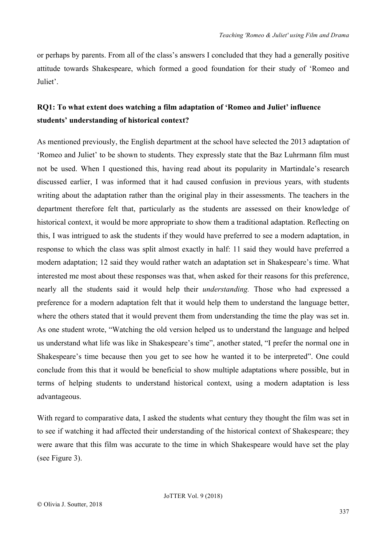or perhaps by parents. From all of the class's answers I concluded that they had a generally positive attitude towards Shakespeare, which formed a good foundation for their study of 'Romeo and Juliet'.

# **RQ1: To what extent does watching a film adaptation of 'Romeo and Juliet' influence students' understanding of historical context?**

As mentioned previously, the English department at the school have selected the 2013 adaptation of 'Romeo and Juliet' to be shown to students. They expressly state that the Baz Luhrmann film must not be used. When I questioned this, having read about its popularity in Martindale's research discussed earlier, I was informed that it had caused confusion in previous years, with students writing about the adaptation rather than the original play in their assessments. The teachers in the department therefore felt that, particularly as the students are assessed on their knowledge of historical context, it would be more appropriate to show them a traditional adaptation. Reflecting on this, I was intrigued to ask the students if they would have preferred to see a modern adaptation, in response to which the class was split almost exactly in half: 11 said they would have preferred a modern adaptation; 12 said they would rather watch an adaptation set in Shakespeare's time. What interested me most about these responses was that, when asked for their reasons for this preference, nearly all the students said it would help their *understanding.* Those who had expressed a preference for a modern adaptation felt that it would help them to understand the language better, where the others stated that it would prevent them from understanding the time the play was set in. As one student wrote, "Watching the old version helped us to understand the language and helped us understand what life was like in Shakespeare's time", another stated, "I prefer the normal one in Shakespeare's time because then you get to see how he wanted it to be interpreted". One could conclude from this that it would be beneficial to show multiple adaptations where possible, but in terms of helping students to understand historical context, using a modern adaptation is less advantageous.

With regard to comparative data, I asked the students what century they thought the film was set in to see if watching it had affected their understanding of the historical context of Shakespeare; they were aware that this film was accurate to the time in which Shakespeare would have set the play (see Figure 3).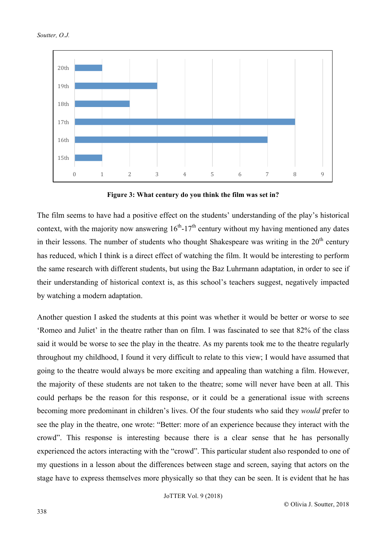

**Figure 3: What century do you think the film was set in?**

The film seems to have had a positive effect on the students' understanding of the play's historical context, with the majority now answering  $16<sup>th</sup>$ -17<sup>th</sup> century without my having mentioned any dates in their lessons. The number of students who thought Shakespeare was writing in the  $20<sup>th</sup>$  century has reduced, which I think is a direct effect of watching the film. It would be interesting to perform the same research with different students, but using the Baz Luhrmann adaptation, in order to see if their understanding of historical context is, as this school's teachers suggest, negatively impacted by watching a modern adaptation.

Another question I asked the students at this point was whether it would be better or worse to see 'Romeo and Juliet' in the theatre rather than on film. I was fascinated to see that 82% of the class said it would be worse to see the play in the theatre. As my parents took me to the theatre regularly throughout my childhood, I found it very difficult to relate to this view; I would have assumed that going to the theatre would always be more exciting and appealing than watching a film. However, the majority of these students are not taken to the theatre; some will never have been at all. This could perhaps be the reason for this response, or it could be a generational issue with screens becoming more predominant in children's lives. Of the four students who said they *would* prefer to see the play in the theatre, one wrote: "Better: more of an experience because they interact with the crowd". This response is interesting because there is a clear sense that he has personally experienced the actors interacting with the "crowd". This particular student also responded to one of my questions in a lesson about the differences between stage and screen, saying that actors on the stage have to express themselves more physically so that they can be seen. It is evident that he has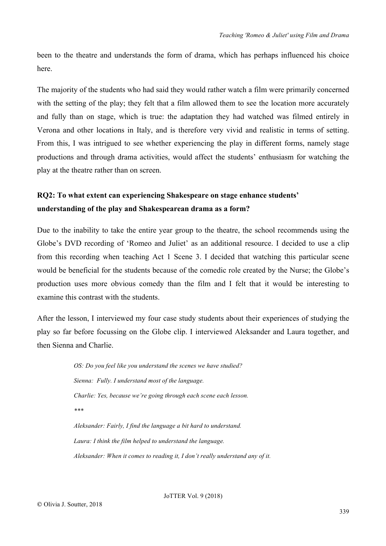been to the theatre and understands the form of drama, which has perhaps influenced his choice here.

The majority of the students who had said they would rather watch a film were primarily concerned with the setting of the play; they felt that a film allowed them to see the location more accurately and fully than on stage, which is true: the adaptation they had watched was filmed entirely in Verona and other locations in Italy, and is therefore very vivid and realistic in terms of setting. From this, I was intrigued to see whether experiencing the play in different forms, namely stage productions and through drama activities, would affect the students' enthusiasm for watching the play at the theatre rather than on screen.

# **RQ2: To what extent can experiencing Shakespeare on stage enhance students' understanding of the play and Shakespearean drama as a form?**

Due to the inability to take the entire year group to the theatre, the school recommends using the Globe's DVD recording of 'Romeo and Juliet' as an additional resource. I decided to use a clip from this recording when teaching Act 1 Scene 3. I decided that watching this particular scene would be beneficial for the students because of the comedic role created by the Nurse; the Globe's production uses more obvious comedy than the film and I felt that it would be interesting to examine this contrast with the students.

After the lesson, I interviewed my four case study students about their experiences of studying the play so far before focussing on the Globe clip. I interviewed Aleksander and Laura together, and then Sienna and Charlie.

> *OS: Do you feel like you understand the scenes we have studied? Sienna: Fully. I understand most of the language. Charlie: Yes, because we're going through each scene each lesson. \*\*\* Aleksander: Fairly, I find the language a bit hard to understand. Laura: I think the film helped to understand the language.*

*Aleksander: When it comes to reading it, I don't really understand any of it.*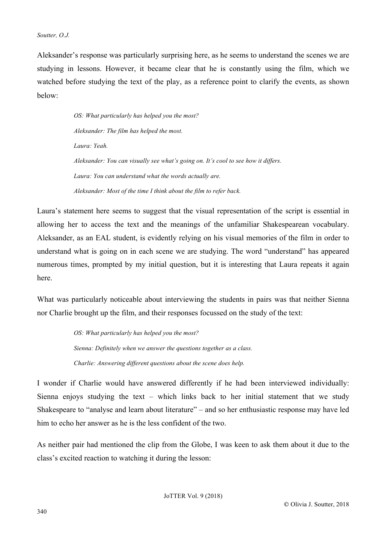#### *Soutter, O.J.*

Aleksander's response was particularly surprising here, as he seems to understand the scenes we are studying in lessons. However, it became clear that he is constantly using the film, which we watched before studying the text of the play, as a reference point to clarify the events, as shown below:

> *OS: What particularly has helped you the most? Aleksander: The film has helped the most. Laura: Yeah. Aleksander: You can visually see what's going on. It's cool to see how it differs. Laura: You can understand what the words actually are. Aleksander: Most of the time I think about the film to refer back.*

Laura's statement here seems to suggest that the visual representation of the script is essential in allowing her to access the text and the meanings of the unfamiliar Shakespearean vocabulary. Aleksander, as an EAL student, is evidently relying on his visual memories of the film in order to understand what is going on in each scene we are studying. The word "understand" has appeared numerous times, prompted by my initial question, but it is interesting that Laura repeats it again here.

What was particularly noticeable about interviewing the students in pairs was that neither Sienna nor Charlie brought up the film, and their responses focussed on the study of the text:

> *OS: What particularly has helped you the most? Sienna: Definitely when we answer the questions together as a class. Charlie: Answering different questions about the scene does help.*

I wonder if Charlie would have answered differently if he had been interviewed individually: Sienna enjoys studying the text – which links back to her initial statement that we study Shakespeare to "analyse and learn about literature" – and so her enthusiastic response may have led him to echo her answer as he is the less confident of the two.

As neither pair had mentioned the clip from the Globe, I was keen to ask them about it due to the class's excited reaction to watching it during the lesson: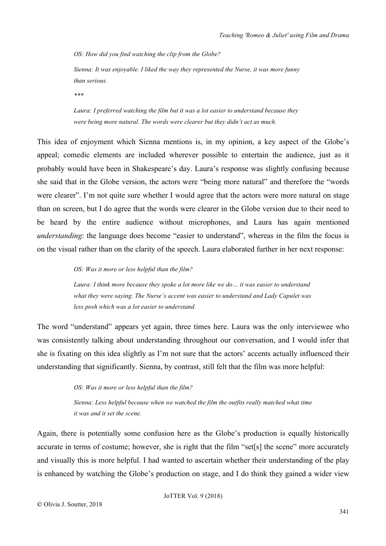*OS: How did you find watching the clip from the Globe?*

*Sienna: It was enjoyable. I liked the way they represented the Nurse, it was more funny than serious.*

*\*\*\**

*Laura: I preferred watching the film but it was a lot easier to understand because they were being more natural. The words were clearer but they didn't act as much.*

This idea of enjoyment which Sienna mentions is, in my opinion, a key aspect of the Globe's appeal; comedic elements are included wherever possible to entertain the audience, just as it probably would have been in Shakespeare's day. Laura's response was slightly confusing because she said that in the Globe version, the actors were "being more natural" and therefore the "words were clearer". I'm not quite sure whether I would agree that the actors were more natural on stage than on screen, but I do agree that the words were clearer in the Globe version due to their need to be heard by the entire audience without microphones, and Laura has again mentioned *understanding*: the language does become "easier to understand", whereas in the film the focus is on the visual rather than on the clarity of the speech. Laura elaborated further in her next response:

#### *OS: Was it more or less helpful than the film?*

*Laura: I think more because they spoke a lot more like we do… it was easier to understand what they were saying. The Nurse's accent was easier to understand and Lady Capulet was less posh which was a lot easier to understand.* 

The word "understand" appears yet again, three times here. Laura was the only interviewee who was consistently talking about understanding throughout our conversation, and I would infer that she is fixating on this idea slightly as I'm not sure that the actors' accents actually influenced their understanding that significantly. Sienna, by contrast, still felt that the film was more helpful:

## *OS: Was it more or less helpful than the film?*

*Sienna: Less helpful because when we watched the film the outfits really matched what time it was and it set the scene.* 

Again, there is potentially some confusion here as the Globe's production is equally historically accurate in terms of costume; however, she is right that the film "set[s] the scene" more accurately and visually this is more helpful. I had wanted to ascertain whether their understanding of the play is enhanced by watching the Globe's production on stage, and I do think they gained a wider view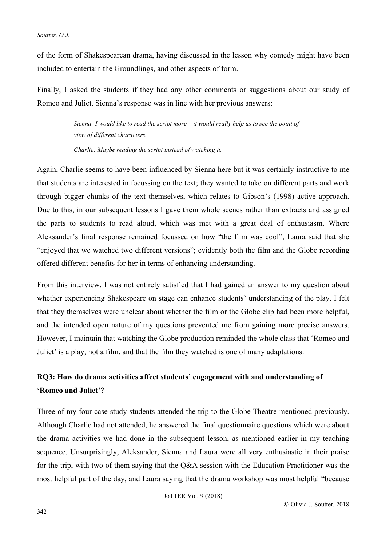of the form of Shakespearean drama, having discussed in the lesson why comedy might have been included to entertain the Groundlings, and other aspects of form.

Finally, I asked the students if they had any other comments or suggestions about our study of Romeo and Juliet. Sienna's response was in line with her previous answers:

> *Sienna: I would like to read the script more – it would really help us to see the point of view of different characters.*

*Charlie: Maybe reading the script instead of watching it.* 

Again, Charlie seems to have been influenced by Sienna here but it was certainly instructive to me that students are interested in focussing on the text; they wanted to take on different parts and work through bigger chunks of the text themselves, which relates to Gibson's (1998) active approach. Due to this, in our subsequent lessons I gave them whole scenes rather than extracts and assigned the parts to students to read aloud, which was met with a great deal of enthusiasm. Where Aleksander's final response remained focussed on how "the film was cool", Laura said that she "enjoyed that we watched two different versions"; evidently both the film and the Globe recording offered different benefits for her in terms of enhancing understanding.

From this interview, I was not entirely satisfied that I had gained an answer to my question about whether experiencing Shakespeare on stage can enhance students' understanding of the play. I felt that they themselves were unclear about whether the film or the Globe clip had been more helpful, and the intended open nature of my questions prevented me from gaining more precise answers. However, I maintain that watching the Globe production reminded the whole class that 'Romeo and Juliet' is a play, not a film, and that the film they watched is one of many adaptations.

# **RQ3: How do drama activities affect students' engagement with and understanding of 'Romeo and Juliet'?**

Three of my four case study students attended the trip to the Globe Theatre mentioned previously. Although Charlie had not attended, he answered the final questionnaire questions which were about the drama activities we had done in the subsequent lesson, as mentioned earlier in my teaching sequence. Unsurprisingly, Aleksander, Sienna and Laura were all very enthusiastic in their praise for the trip, with two of them saying that the Q&A session with the Education Practitioner was the most helpful part of the day, and Laura saying that the drama workshop was most helpful "because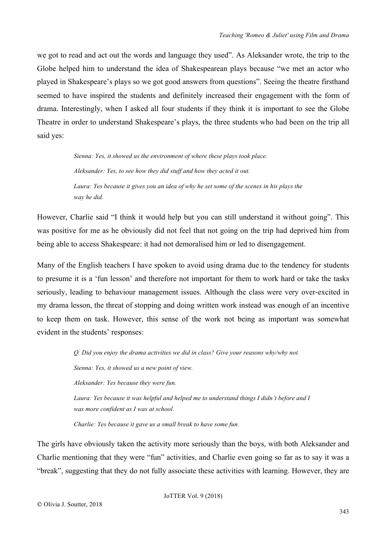we got to read and act out the words and language they used". As Aleksander wrote, the trip to the Globe helped him to understand the idea of Shakespearean plays because "we met an actor who played in Shakespeare's plays so we got good answers from questions". Seeing the theatre firsthand seemed to have inspired the students and definitely increased their engagement with the form of drama. Interestingly, when I asked all four students if they think it is important to see the Globe Theatre in order to understand Shakespeare's plays, the three students who had been on the trip all said yes:

> *Sienna: Yes, it showed us the environment of where these plays took place. Aleksander: Yes, to see how they did stuff and how they acted it out. Laura: Yes because it gives you an idea of why he set some of the scenes in his plays the way he did.*

However, Charlie said "I think it would help but you can still understand it without going". This was positive for me as he obviously did not feel that not going on the trip had deprived him from being able to access Shakespeare: it had not demoralised him or led to disengagement.

Many of the English teachers I have spoken to avoid using drama due to the tendency for students to presume it is a 'fun lesson' and therefore not important for them to work hard or take the tasks seriously, leading to behaviour management issues. Although the class were very over-excited in my drama lesson, the threat of stopping and doing written work instead was enough of an incentive to keep them on task. However, this sense of the work not being as important was somewhat evident in the students' responses:

> *Q. Did you enjoy the drama activities we did in class? Give your reasons why/why not. Sienna: Yes, it showed us a new point of view. Aleksander: Yes because they were fun. Laura: Yes because it was helpful and helped me to understand things I didn't before and I was more confident as I was at school.*

*Charlie: Yes because it gave us a small break to have some fun.* 

The girls have obviously taken the activity more seriously than the boys, with both Aleksander and Charlie mentioning that they were "fun" activities, and Charlie even going so far as to say it was a "break", suggesting that they do not fully associate these activities with learning. However, they are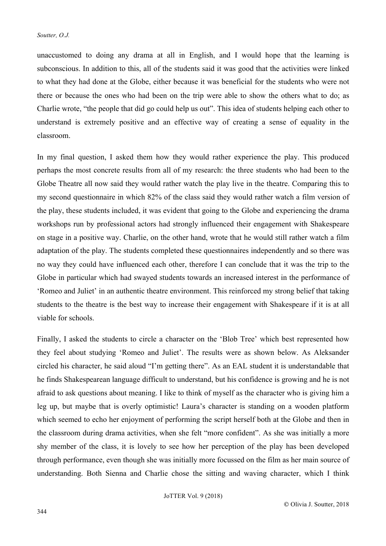unaccustomed to doing any drama at all in English, and I would hope that the learning is subconscious. In addition to this, all of the students said it was good that the activities were linked to what they had done at the Globe, either because it was beneficial for the students who were not there or because the ones who had been on the trip were able to show the others what to do; as Charlie wrote, "the people that did go could help us out". This idea of students helping each other to understand is extremely positive and an effective way of creating a sense of equality in the classroom.

In my final question, I asked them how they would rather experience the play. This produced perhaps the most concrete results from all of my research: the three students who had been to the Globe Theatre all now said they would rather watch the play live in the theatre. Comparing this to my second questionnaire in which 82% of the class said they would rather watch a film version of the play, these students included, it was evident that going to the Globe and experiencing the drama workshops run by professional actors had strongly influenced their engagement with Shakespeare on stage in a positive way. Charlie, on the other hand, wrote that he would still rather watch a film adaptation of the play. The students completed these questionnaires independently and so there was no way they could have influenced each other, therefore I can conclude that it was the trip to the Globe in particular which had swayed students towards an increased interest in the performance of 'Romeo and Juliet' in an authentic theatre environment. This reinforced my strong belief that taking students to the theatre is the best way to increase their engagement with Shakespeare if it is at all viable for schools.

Finally, I asked the students to circle a character on the 'Blob Tree' which best represented how they feel about studying 'Romeo and Juliet'. The results were as shown below. As Aleksander circled his character, he said aloud "I'm getting there". As an EAL student it is understandable that he finds Shakespearean language difficult to understand, but his confidence is growing and he is not afraid to ask questions about meaning. I like to think of myself as the character who is giving him a leg up, but maybe that is overly optimistic! Laura's character is standing on a wooden platform which seemed to echo her enjoyment of performing the script herself both at the Globe and then in the classroom during drama activities, when she felt "more confident". As she was initially a more shy member of the class, it is lovely to see how her perception of the play has been developed through performance, even though she was initially more focussed on the film as her main source of understanding. Both Sienna and Charlie chose the sitting and waving character, which I think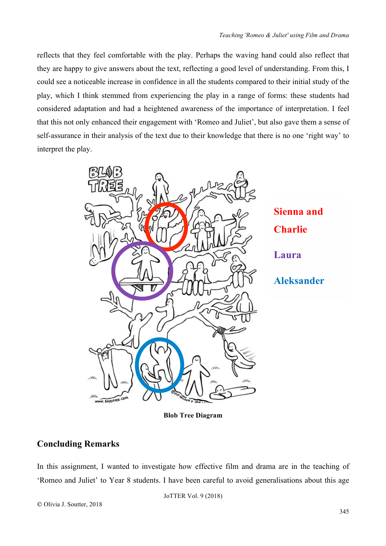reflects that they feel comfortable with the play. Perhaps the waving hand could also reflect that they are happy to give answers about the text, reflecting a good level of understanding. From this, I could see a noticeable increase in confidence in all the students compared to their initial study of the play, which I think stemmed from experiencing the play in a range of forms: these students had considered adaptation and had a heightened awareness of the importance of interpretation. I feel that this not only enhanced their engagement with 'Romeo and Juliet', but also gave them a sense of self-assurance in their analysis of the text due to their knowledge that there is no one 'right way' to interpret the play.



**Blob Tree Diagram**

# **Concluding Remarks**

In this assignment, I wanted to investigate how effective film and drama are in the teaching of 'Romeo and Juliet' to Year 8 students. I have been careful to avoid generalisations about this age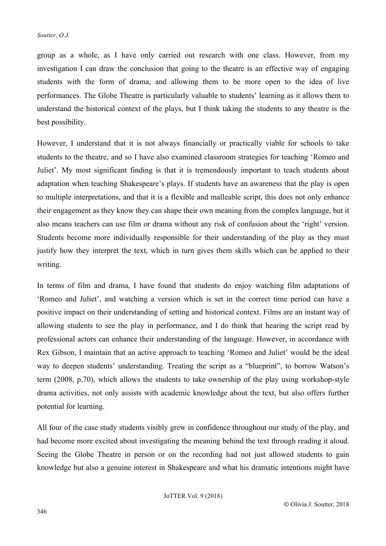group as a whole, as I have only carried out research with one class. However, from my investigation I can draw the conclusion that going to the theatre is an effective way of engaging students with the form of drama, and allowing them to be more open to the idea of live performances. The Globe Theatre is particularly valuable to students' learning as it allows them to understand the historical context of the plays, but I think taking the students to any theatre is the best possibility.

However, I understand that it is not always financially or practically viable for schools to take students to the theatre, and so I have also examined classroom strategies for teaching 'Romeo and Juliet'. My most significant finding is that it is tremendously important to teach students about adaptation when teaching Shakespeare's plays. If students have an awareness that the play is open to multiple interpretations, and that it is a flexible and malleable script, this does not only enhance their engagement as they know they can shape their own meaning from the complex language, but it also means teachers can use film or drama without any risk of confusion about the 'right' version. Students become more individually responsible for their understanding of the play as they must justify how they interpret the text, which in turn gives them skills which can be applied to their writing.

In terms of film and drama, I have found that students do enjoy watching film adaptations of 'Romeo and Juliet', and watching a version which is set in the correct time period can have a positive impact on their understanding of setting and historical context. Films are an instant way of allowing students to see the play in performance, and I do think that hearing the script read by professional actors can enhance their understanding of the language. However, in accordance with Rex Gibson, I maintain that an active approach to teaching 'Romeo and Juliet' would be the ideal way to deepen students' understanding. Treating the script as a "blueprint", to borrow Watson's term (2008, p.70), which allows the students to take ownership of the play using workshop-style drama activities, not only assists with academic knowledge about the text, but also offers further potential for learning.

All four of the case study students visibly grew in confidence throughout our study of the play, and had become more excited about investigating the meaning behind the text through reading it aloud. Seeing the Globe Theatre in person or on the recording had not just allowed students to gain knowledge but also a genuine interest in Shakespeare and what his dramatic intentions might have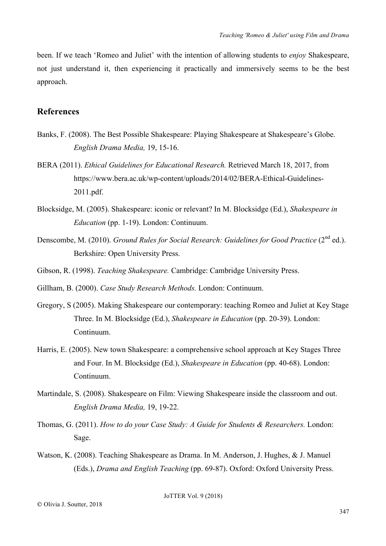been. If we teach 'Romeo and Juliet' with the intention of allowing students to *enjoy* Shakespeare, not just understand it, then experiencing it practically and immersively seems to be the best approach.

## **References**

- Banks, F. (2008). The Best Possible Shakespeare: Playing Shakespeare at Shakespeare's Globe. *English Drama Media,* 19, 15-16.
- BERA (2011). *Ethical Guidelines for Educational Research.* Retrieved March 18, 2017, from https://www.bera.ac.uk/wp-content/uploads/2014/02/BERA-Ethical-Guidelines-2011.pdf.
- Blocksidge, M. (2005). Shakespeare: iconic or relevant? In M. Blocksidge (Ed.), *Shakespeare in Education* (pp. 1-19). London: Continuum.
- Denscombe, M. (2010). *Ground Rules for Social Research: Guidelines for Good Practice* (2<sup>nd</sup> ed.). Berkshire: Open University Press.
- Gibson, R. (1998). *Teaching Shakespeare.* Cambridge: Cambridge University Press.

Gillham, B. (2000). *Case Study Research Methods.* London: Continuum.

- Gregory, S (2005). Making Shakespeare our contemporary: teaching Romeo and Juliet at Key Stage Three. In M. Blocksidge (Ed.), *Shakespeare in Education* (pp. 20-39). London: Continuum.
- Harris, E. (2005). New town Shakespeare: a comprehensive school approach at Key Stages Three and Four. In M. Blocksidge (Ed.), *Shakespeare in Education* (pp. 40-68). London: Continuum.
- Martindale, S. (2008). Shakespeare on Film: Viewing Shakespeare inside the classroom and out. *English Drama Media,* 19, 19-22.
- Thomas, G. (2011). *How to do your Case Study: A Guide for Students & Researchers.* London: Sage.
- Watson, K. (2008). Teaching Shakespeare as Drama. In M. Anderson, J. Hughes, & J. Manuel (Eds.), *Drama and English Teaching* (pp. 69-87). Oxford: Oxford University Press.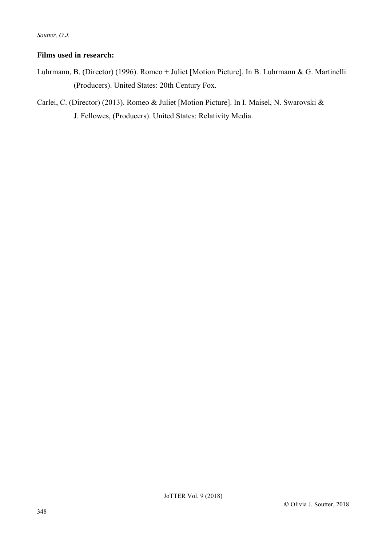## **Films used in research:**

- Luhrmann, B. (Director) (1996). Romeo + Juliet [Motion Picture]. In B. Luhrmann & G. Martinelli (Producers). United States: 20th Century Fox.
- Carlei, C. (Director) (2013). Romeo & Juliet [Motion Picture]. In I. Maisel, N. Swarovski & J. Fellowes, (Producers). United States: Relativity Media.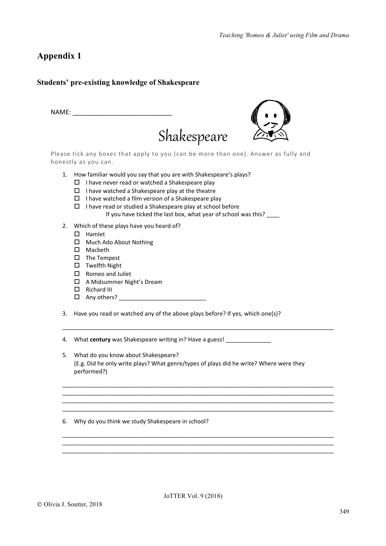# **Appendix 1**

## **Students' pre-existing knowledge of Shakespeare**

| NAME: |                                                                                                                                                                                                                                                                                                                                                                                     |
|-------|-------------------------------------------------------------------------------------------------------------------------------------------------------------------------------------------------------------------------------------------------------------------------------------------------------------------------------------------------------------------------------------|
|       | Shakespeare                                                                                                                                                                                                                                                                                                                                                                         |
|       | Please tick any boxes that apply to you (can be more than one). Answer as fully and<br>honestly as you can.                                                                                                                                                                                                                                                                         |
| 1.    | How familiar would you say that you are with Shakespeare's plays?<br>I have never read or watched a Shakespeare play<br>□<br>I have watched a Shakespeare play at the theatre<br>П<br>I have watched a film version of a Shakespeare play<br>П<br>I have read or studied a Shakespeare play at school before<br>П<br>If you have ticked the last box, what year of school was this? |
| 2.    | Which of these plays have you heard of?<br>Hamlet<br>П<br>Much Ado About Nothing<br>П<br>Macbeth<br>П<br>The Tempest<br>ப                                                                                                                                                                                                                                                           |

- $\square$  Twelfth Night
- $\square$  Romeo and Juliet
- $\Box$  A Midsummer Night's Dream
- $\Box$  Richard III
- $\Box$  Any others?  $\Box$
- 3. Have you read or watched any of the above plays before? If yes, which one(s)?

4. What **century** was Shakespeare writing in? Have a guess! \_\_\_\_\_\_\_\_\_\_\_\_\_\_\_\_\_\_\_\_

5. What do you know about Shakespeare? (E.g. Did he only write plays? What genre/types of plays did he write? Where were they performed?)

 $\mathcal{L}_\text{max}$ 

\_\_\_\_\_\_\_\_\_\_\_\_\_\_\_\_\_\_\_\_\_\_\_\_\_\_\_\_\_\_\_\_\_\_\_\_\_\_\_\_\_\_\_\_\_\_\_\_\_\_\_\_\_\_\_\_\_\_\_\_\_\_\_\_\_\_\_\_\_\_\_\_\_\_\_\_\_\_\_\_\_\_\_\_

\_\_\_\_\_\_\_\_\_\_\_\_\_\_\_\_\_\_\_\_\_\_\_\_\_\_\_\_\_\_\_\_\_\_\_\_\_\_\_\_\_\_\_\_\_\_\_\_\_\_\_\_\_\_\_\_\_\_\_\_\_\_\_\_\_\_\_\_\_\_\_\_\_\_\_\_\_\_\_\_\_\_\_\_ \_\_\_\_\_\_\_\_\_\_\_\_\_\_\_\_\_\_\_\_\_\_\_\_\_\_\_\_\_\_\_\_\_\_\_\_\_\_\_\_\_\_\_\_\_\_\_\_\_\_\_\_\_\_\_\_\_\_\_\_\_\_\_\_\_\_\_\_\_\_\_\_\_\_\_\_\_\_\_\_\_\_\_\_ \_\_\_\_\_\_\_\_\_\_\_\_\_\_\_\_\_\_\_\_\_\_\_\_\_\_\_\_\_\_\_\_\_\_\_\_\_\_\_\_\_\_\_\_\_\_\_\_\_\_\_\_\_\_\_\_\_\_\_\_\_\_\_\_\_\_\_\_\_\_\_\_\_\_\_\_\_\_\_\_\_\_\_\_

\_\_\_\_\_\_\_\_\_\_\_\_\_\_\_\_\_\_\_\_\_\_\_\_\_\_\_\_\_\_\_\_\_\_\_\_\_\_\_\_\_\_\_\_\_\_\_\_\_\_\_\_\_\_\_\_\_\_\_\_\_\_\_\_\_\_\_\_\_\_\_\_\_\_\_\_\_\_\_\_\_\_\_\_ \_\_\_\_\_\_\_\_\_\_\_\_\_\_\_\_\_\_\_\_\_\_\_\_\_\_\_\_\_\_\_\_\_\_\_\_\_\_\_\_\_\_\_\_\_\_\_\_\_\_\_\_\_\_\_\_\_\_\_\_\_\_\_\_\_\_\_\_\_\_\_\_\_\_\_\_\_\_\_\_\_\_\_\_ \_\_\_\_\_\_\_\_\_\_\_\_\_\_\_\_\_\_\_\_\_\_\_\_\_\_\_\_\_\_\_\_\_\_\_\_\_\_\_\_\_\_\_\_\_\_\_\_\_\_\_\_\_\_\_\_\_\_\_\_\_\_\_\_\_\_\_\_\_\_\_\_\_\_\_\_\_\_\_\_\_\_\_\_

6. Why do you think we study Shakespeare in school?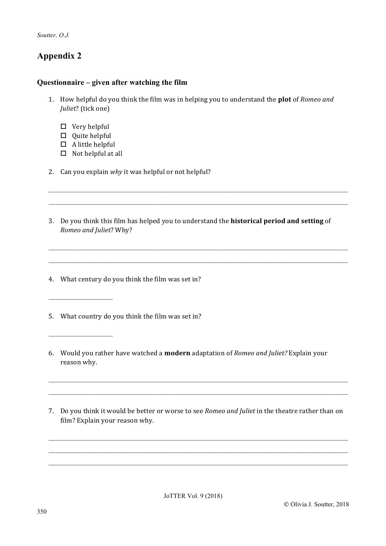*Soutter, O.J.*

# **Appendix 2**

## **Questionnaire – given after watching the film**

- 1. How helpful do you think the film was in helping you to understand the **plot** of *Romeo and Juliet?* (tick one)
	- $\Box$  Very helpful
	- $\Box$  Quite helpful

\_\_\_\_\_\_\_\_\_\_\_\_\_\_\_\_\_\_

\_\_\_\_\_\_\_\_\_\_\_\_\_\_\_\_\_\_

- $\Box$  A little helpful
- $\square$  Not helpful at all
- 2. Can you explain why it was helpful or not helpful?
- 3. Do you think this film has helped you to understand the **historical period and setting** of *Romeo and Juliet*? Why?

 $\_$  , and the set of the set of the set of the set of the set of the set of the set of the set of the set of the set of the set of the set of the set of the set of the set of the set of the set of the set of the set of th  $\_$  , and the set of the set of the set of the set of the set of the set of the set of the set of the set of the set of the set of the set of the set of the set of the set of the set of the set of the set of the set of th

\_\_\_\_\_\_\_\_\_\_\_\_\_\_\_\_\_\_\_\_\_\_\_\_\_\_\_\_\_\_\_\_\_\_\_\_\_\_\_\_\_\_\_\_\_\_\_\_\_\_\_\_\_\_\_\_\_\_\_\_\_\_\_\_\_\_\_\_\_\_\_\_\_\_\_\_\_\_\_\_\_\_\_\_ \_\_\_\_\_\_\_\_\_\_\_\_\_\_\_\_\_\_\_\_\_\_\_\_\_\_\_\_\_\_\_\_\_\_\_\_\_\_\_\_\_\_\_\_\_\_\_\_\_\_\_\_\_\_\_\_\_\_\_\_\_\_\_\_\_\_\_\_\_\_\_\_\_\_\_\_\_\_\_\_\_\_\_\_

- 4. What century do you think the film was set in?
- 5. What country do you think the film was set in?
- 6. Would you rather have watched a **modern** adaptation of *Romeo and Juliet?* Explain your reason why.
- 7. Do you think it would be better or worse to see *Romeo and Juliet* in the theatre rather than on film? Explain your reason why.

 $\_$  , and the set of the set of the set of the set of the set of the set of the set of the set of the set of the set of the set of the set of the set of the set of the set of the set of the set of the set of the set of th  $\_$  , and the set of the set of the set of the set of the set of the set of the set of the set of the set of the set of the set of the set of the set of the set of the set of the set of the set of the set of the set of th \_\_\_\_\_\_\_\_\_\_\_\_\_\_\_\_\_\_\_\_\_\_\_\_\_\_\_\_\_\_\_\_\_\_\_\_\_\_\_\_\_\_\_\_\_\_\_\_\_\_\_\_\_\_\_\_\_\_\_\_\_\_\_\_\_\_\_\_\_\_\_\_\_\_\_\_\_\_\_\_\_\_\_\_

\_\_\_\_\_\_\_\_\_\_\_\_\_\_\_\_\_\_\_\_\_\_\_\_\_\_\_\_\_\_\_\_\_\_\_\_\_\_\_\_\_\_\_\_\_\_\_\_\_\_\_\_\_\_\_\_\_\_\_\_\_\_\_\_\_\_\_\_\_\_\_\_\_\_\_\_\_\_\_\_\_\_\_\_ \_\_\_\_\_\_\_\_\_\_\_\_\_\_\_\_\_\_\_\_\_\_\_\_\_\_\_\_\_\_\_\_\_\_\_\_\_\_\_\_\_\_\_\_\_\_\_\_\_\_\_\_\_\_\_\_\_\_\_\_\_\_\_\_\_\_\_\_\_\_\_\_\_\_\_\_\_\_\_\_\_\_\_\_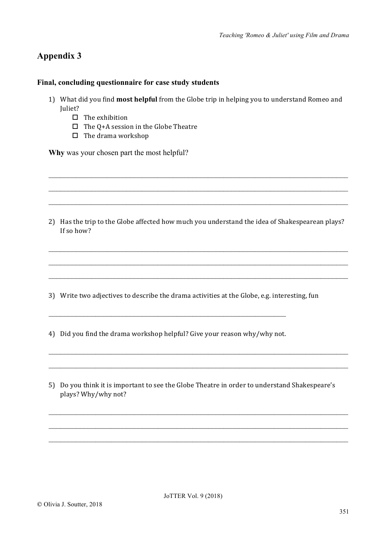# **Appendix 3**

## **Final, concluding questionnaire for case study students**

- 1) What did you find **most helpful** from the Globe trip in helping you to understand Romeo and Juliet?
	- $\square$  The exhibition
	- $\square$  The Q+A session in the Globe Theatre
	- $\Box$  The drama workshop

**Why** was your chosen part the most helpful?

2) Has the trip to the Globe affected how much you understand the idea of Shakespearean plays? If so how?

\_\_\_\_\_\_\_\_\_\_\_\_\_\_\_\_\_\_\_\_\_\_\_\_\_\_\_\_\_\_\_\_\_\_\_\_\_\_\_\_\_\_\_\_\_\_\_\_\_\_\_\_\_\_\_\_\_\_\_\_\_\_\_\_\_\_\_\_\_\_\_\_\_\_\_\_\_

\_\_\_\_\_\_\_\_\_\_\_\_\_\_\_\_\_\_\_\_\_\_\_\_\_\_\_\_\_\_\_\_\_\_\_\_\_\_\_\_\_\_\_\_\_\_\_\_\_\_\_\_\_\_\_\_\_\_\_\_\_\_\_\_\_\_\_\_\_\_\_\_\_\_\_\_\_

\_\_\_\_\_\_\_\_\_\_\_\_\_\_\_\_\_\_\_\_\_\_\_\_\_\_\_\_\_\_\_\_\_\_\_\_\_\_\_\_\_\_\_\_\_\_\_\_\_\_\_\_\_\_\_\_\_\_\_\_\_\_\_\_\_\_\_\_\_\_\_\_\_\_\_\_\_

\_\_\_\_\_\_\_\_\_\_\_\_\_\_\_\_\_\_\_\_\_\_\_\_\_\_\_\_\_\_\_\_\_\_\_\_\_\_\_\_\_\_\_\_\_\_\_\_\_\_\_\_\_\_\_\_\_\_\_\_\_\_\_\_\_\_\_\_\_\_\_\_\_\_\_\_\_

\_\_\_\_\_\_\_\_\_\_\_\_\_\_\_\_\_\_\_\_\_\_\_\_\_\_\_\_\_\_\_\_\_\_\_\_\_\_\_\_\_\_\_\_\_\_\_\_\_\_\_\_\_\_\_\_\_\_\_\_\_\_\_\_\_\_\_\_\_\_\_\_\_\_\_\_\_

\_\_\_\_\_\_\_\_\_\_\_\_\_\_\_\_\_\_\_\_\_\_\_\_\_\_\_\_\_\_\_\_\_\_\_\_\_\_\_\_\_\_\_\_\_\_\_\_\_\_\_\_\_\_\_\_\_\_\_\_\_\_\_\_\_\_\_\_\_\_\_\_\_\_\_\_\_

3) Write two adjectives to describe the drama activities at the Globe, e.g. interesting, fun

4) Did you find the drama workshop helpful? Give your reason why/why not.

\_\_\_\_\_\_\_\_\_\_\_\_\_\_\_\_\_\_\_\_\_\_\_\_\_\_\_\_\_\_\_\_\_\_\_\_\_\_\_\_\_\_\_\_\_\_\_\_\_\_\_\_\_\_\_\_\_\_\_\_\_

5) Do you think it is important to see the Globe Theatre in order to understand Shakespeare's plays? Why/why not?

\_\_\_\_\_\_\_\_\_\_\_\_\_\_\_\_\_\_\_\_\_\_\_\_\_\_\_\_\_\_\_\_\_\_\_\_\_\_\_\_\_\_\_\_\_\_\_\_\_\_\_\_\_\_\_\_\_\_\_\_\_\_\_\_\_\_\_\_\_\_\_\_\_\_\_\_\_

\_\_\_\_\_\_\_\_\_\_\_\_\_\_\_\_\_\_\_\_\_\_\_\_\_\_\_\_\_\_\_\_\_\_\_\_\_\_\_\_\_\_\_\_\_\_\_\_\_\_\_\_\_\_\_\_\_\_\_\_\_\_\_\_\_\_\_\_\_\_\_\_\_\_\_\_\_

\_\_\_\_\_\_\_\_\_\_\_\_\_\_\_\_\_\_\_\_\_\_\_\_\_\_\_\_\_\_\_\_\_\_\_\_\_\_\_\_\_\_\_\_\_\_\_\_\_\_\_\_\_\_\_\_\_\_\_\_\_\_\_\_\_\_\_\_\_\_\_\_\_\_\_\_\_

\_\_\_\_\_\_\_\_\_\_\_\_\_\_\_\_\_\_\_\_\_\_\_\_\_\_\_\_\_\_\_\_\_\_\_\_\_\_\_\_\_\_\_\_\_\_\_\_\_\_\_\_\_\_\_\_\_\_\_\_\_\_\_\_\_\_\_\_\_\_\_\_\_\_\_\_\_

\_\_\_\_\_\_\_\_\_\_\_\_\_\_\_\_\_\_\_\_\_\_\_\_\_\_\_\_\_\_\_\_\_\_\_\_\_\_\_\_\_\_\_\_\_\_\_\_\_\_\_\_\_\_\_\_\_\_\_\_\_\_\_\_\_\_\_\_\_\_\_\_\_\_\_\_\_